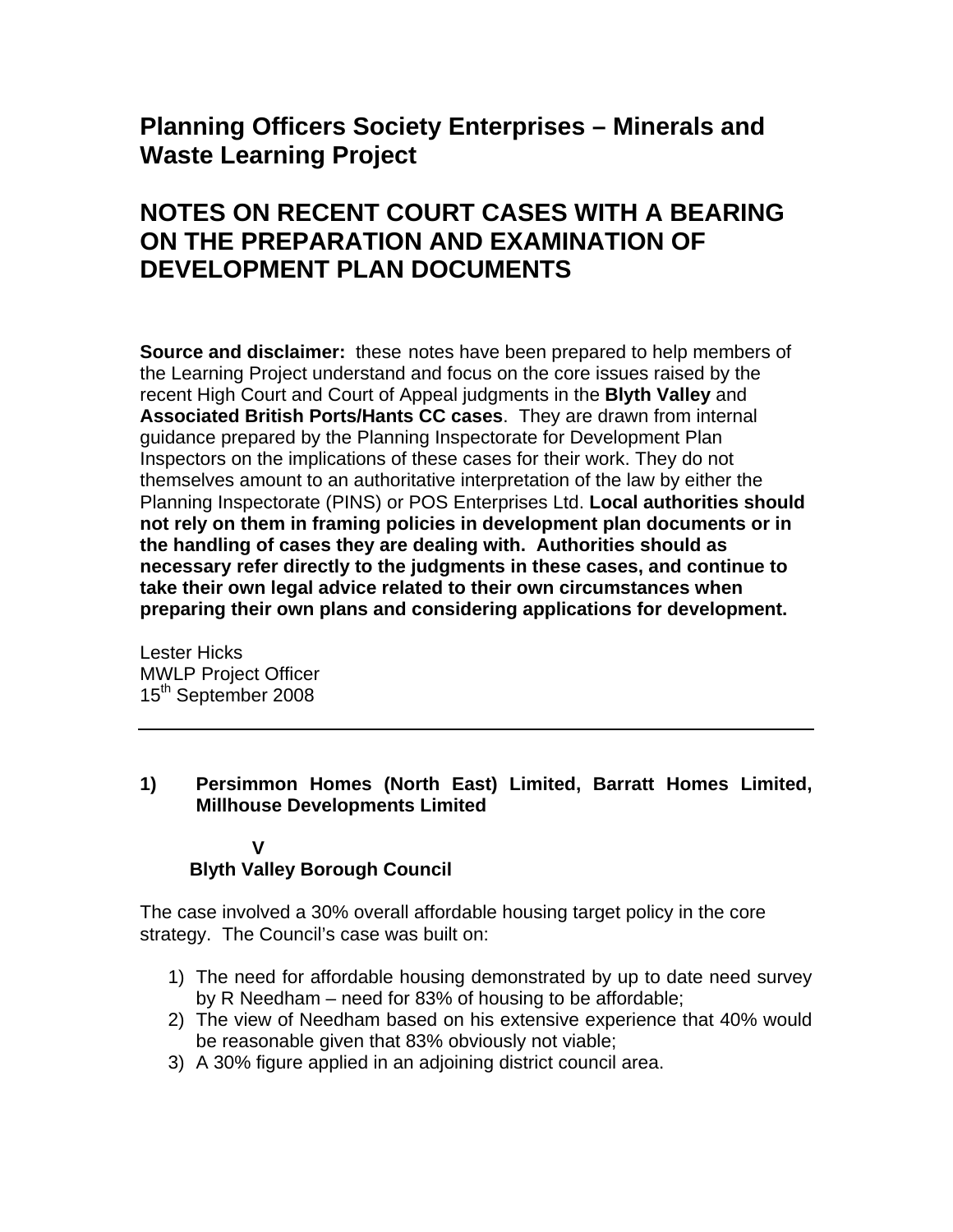# **Planning Officers Society Enterprises – Minerals and Waste Learning Project**

# **NOTES ON RECENT COURT CASES WITH A BEARING ON THE PREPARATION AND EXAMINATION OF DEVELOPMENT PLAN DOCUMENTS**

**Source and disclaimer:** these notes have been prepared to help members of the Learning Project understand and focus on the core issues raised by the recent High Court and Court of Appeal judgments in the **Blyth Valley** and **Associated British Ports/Hants CC cases**. They are drawn from internal guidance prepared by the Planning Inspectorate for Development Plan Inspectors on the implications of these cases for their work. They do not themselves amount to an authoritative interpretation of the law by either the Planning Inspectorate (PINS) or POS Enterprises Ltd. **Local authorities should not rely on them in framing policies in development plan documents or in the handling of cases they are dealing with. Authorities should as necessary refer directly to the judgments in these cases, and continue to take their own legal advice related to their own circumstances when preparing their own plans and considering applications for development.** 

Lester Hicks MWLP Project Officer 15<sup>th</sup> September 2008

#### **1) Persimmon Homes (North East) Limited, Barratt Homes Limited, Millhouse Developments Limited**

#### **V Blyth Valley Borough Council**

The case involved a 30% overall affordable housing target policy in the core strategy. The Council's case was built on:

- 1) The need for affordable housing demonstrated by up to date need survey by R Needham – need for 83% of housing to be affordable;
- 2) The view of Needham based on his extensive experience that 40% would be reasonable given that 83% obviously not viable;
- 3) A 30% figure applied in an adjoining district council area.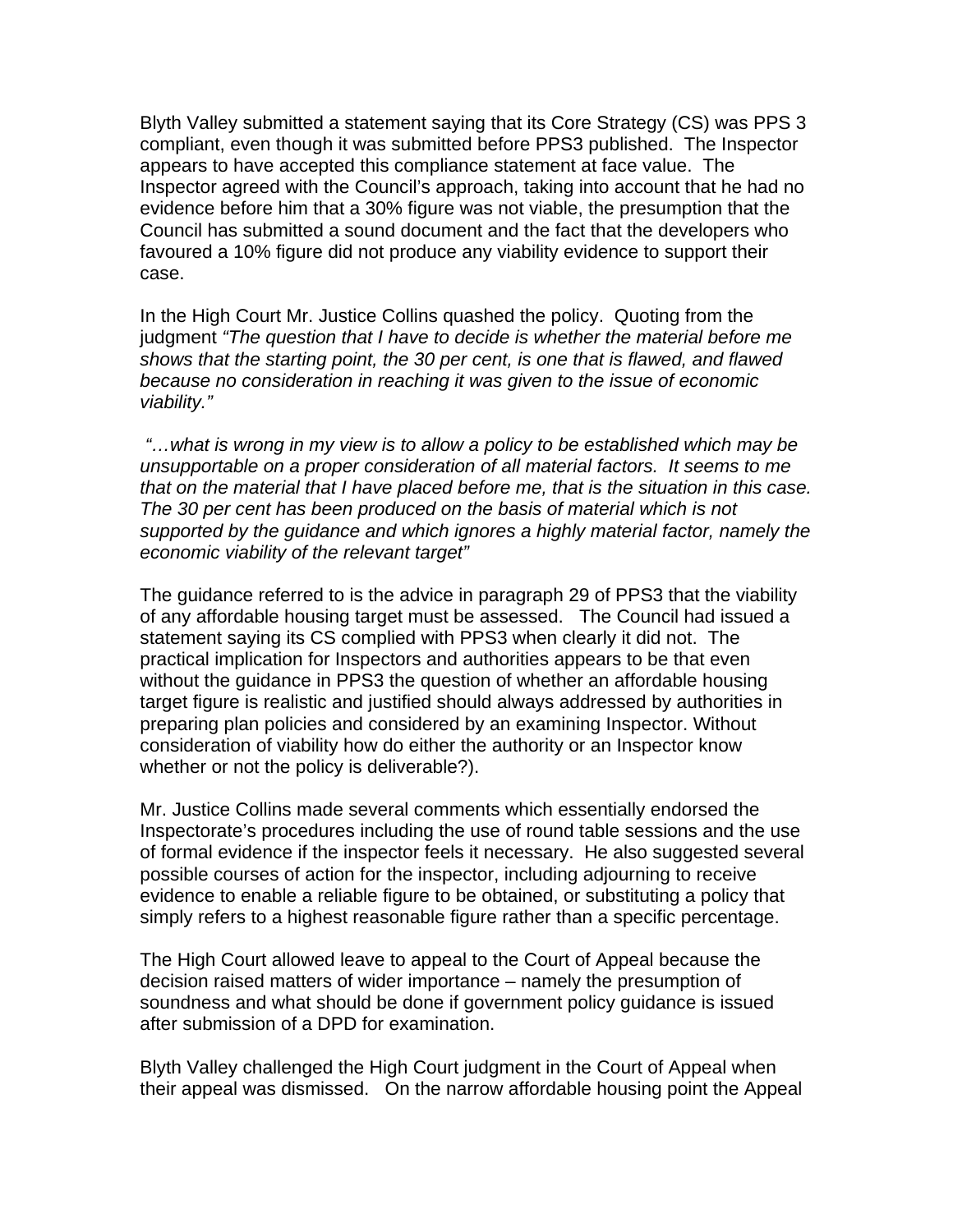Blyth Valley submitted a statement saying that its Core Strategy (CS) was PPS 3 compliant, even though it was submitted before PPS3 published. The Inspector appears to have accepted this compliance statement at face value. The Inspector agreed with the Council's approach, taking into account that he had no evidence before him that a 30% figure was not viable, the presumption that the Council has submitted a sound document and the fact that the developers who favoured a 10% figure did not produce any viability evidence to support their case.

In the High Court Mr. Justice Collins quashed the policy. Quoting from the judgment *"The question that I have to decide is whether the material before me shows that the starting point, the 30 per cent, is one that is flawed, and flawed because no consideration in reaching it was given to the issue of economic viability."* 

 *"…what is wrong in my view is to allow a policy to be established which may be unsupportable on a proper consideration of all material factors. It seems to me that on the material that I have placed before me, that is the situation in this case. The 30 per cent has been produced on the basis of material which is not supported by the guidance and which ignores a highly material factor, namely the economic viability of the relevant target"* 

The guidance referred to is the advice in paragraph 29 of PPS3 that the viability of any affordable housing target must be assessed. The Council had issued a statement saying its CS complied with PPS3 when clearly it did not. The practical implication for Inspectors and authorities appears to be that even without the guidance in PPS3 the question of whether an affordable housing target figure is realistic and justified should always addressed by authorities in preparing plan policies and considered by an examining Inspector. Without consideration of viability how do either the authority or an Inspector know whether or not the policy is deliverable?).

Mr. Justice Collins made several comments which essentially endorsed the Inspectorate's procedures including the use of round table sessions and the use of formal evidence if the inspector feels it necessary. He also suggested several possible courses of action for the inspector, including adjourning to receive evidence to enable a reliable figure to be obtained, or substituting a policy that simply refers to a highest reasonable figure rather than a specific percentage.

The High Court allowed leave to appeal to the Court of Appeal because the decision raised matters of wider importance – namely the presumption of soundness and what should be done if government policy guidance is issued after submission of a DPD for examination.

Blyth Valley challenged the High Court judgment in the Court of Appeal when their appeal was dismissed. On the narrow affordable housing point the Appeal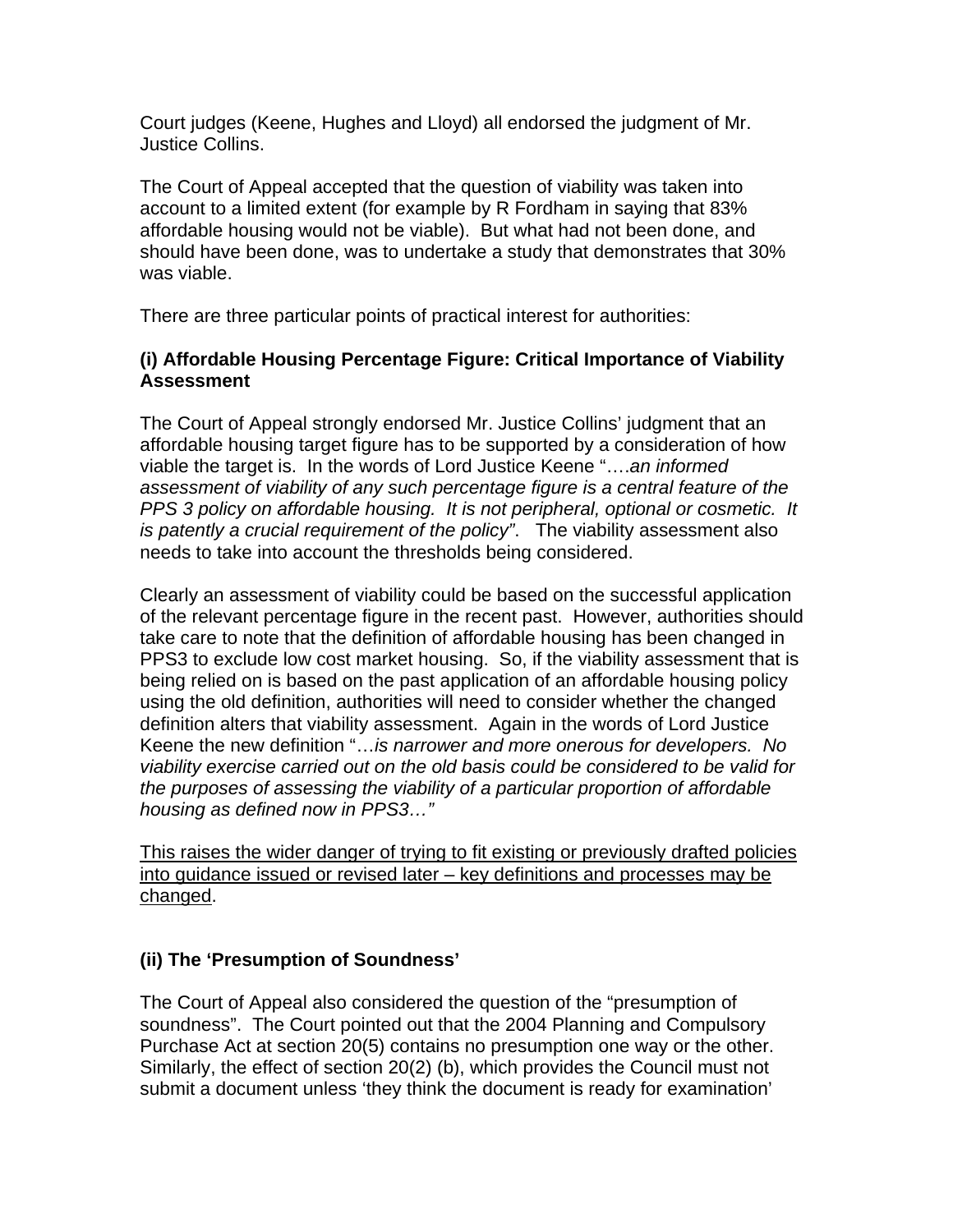Court judges (Keene, Hughes and Lloyd) all endorsed the judgment of Mr. Justice Collins.

The Court of Appeal accepted that the question of viability was taken into account to a limited extent (for example by R Fordham in saying that 83% affordable housing would not be viable). But what had not been done, and should have been done, was to undertake a study that demonstrates that 30% was viable.

There are three particular points of practical interest for authorities:

## **(i) Affordable Housing Percentage Figure: Critical Importance of Viability Assessment**

The Court of Appeal strongly endorsed Mr. Justice Collins' judgment that an affordable housing target figure has to be supported by a consideration of how viable the target is. In the words of Lord Justice Keene "….*an informed assessment of viability of any such percentage figure is a central feature of the PPS 3 policy on affordable housing. It is not peripheral, optional or cosmetic. It is patently a crucial requirement of the policy"*. The viability assessment also needs to take into account the thresholds being considered.

Clearly an assessment of viability could be based on the successful application of the relevant percentage figure in the recent past. However, authorities should take care to note that the definition of affordable housing has been changed in PPS3 to exclude low cost market housing. So, if the viability assessment that is being relied on is based on the past application of an affordable housing policy using the old definition, authorities will need to consider whether the changed definition alters that viability assessment. Again in the words of Lord Justice Keene the new definition "…*is narrower and more onerous for developers. No viability exercise carried out on the old basis could be considered to be valid for the purposes of assessing the viability of a particular proportion of affordable housing as defined now in PPS3…"* 

This raises the wider danger of trying to fit existing or previously drafted policies into guidance issued or revised later – key definitions and processes may be changed.

## **(ii) The 'Presumption of Soundness'**

The Court of Appeal also considered the question of the "presumption of soundness". The Court pointed out that the 2004 Planning and Compulsory Purchase Act at section 20(5) contains no presumption one way or the other. Similarly, the effect of section 20(2) (b), which provides the Council must not submit a document unless 'they think the document is ready for examination'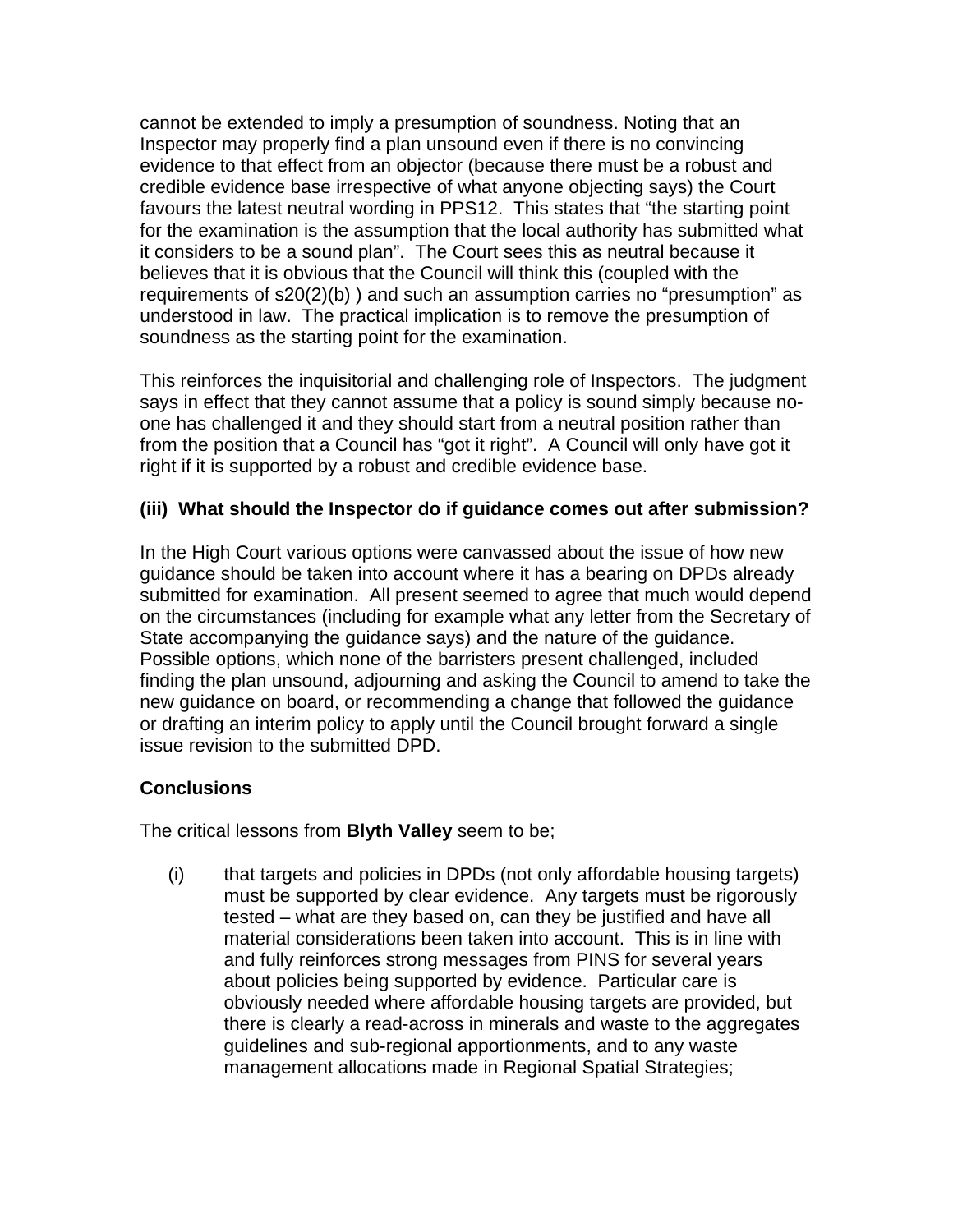cannot be extended to imply a presumption of soundness. Noting that an Inspector may properly find a plan unsound even if there is no convincing evidence to that effect from an objector (because there must be a robust and credible evidence base irrespective of what anyone objecting says) the Court favours the latest neutral wording in PPS12. This states that "the starting point for the examination is the assumption that the local authority has submitted what it considers to be a sound plan". The Court sees this as neutral because it believes that it is obvious that the Council will think this (coupled with the requirements of s20(2)(b) ) and such an assumption carries no "presumption" as understood in law. The practical implication is to remove the presumption of soundness as the starting point for the examination.

This reinforces the inquisitorial and challenging role of Inspectors. The judgment says in effect that they cannot assume that a policy is sound simply because noone has challenged it and they should start from a neutral position rather than from the position that a Council has "got it right". A Council will only have got it right if it is supported by a robust and credible evidence base.

#### **(iii) What should the Inspector do if guidance comes out after submission?**

In the High Court various options were canvassed about the issue of how new guidance should be taken into account where it has a bearing on DPDs already submitted for examination. All present seemed to agree that much would depend on the circumstances (including for example what any letter from the Secretary of State accompanying the guidance says) and the nature of the guidance. Possible options, which none of the barristers present challenged, included finding the plan unsound, adjourning and asking the Council to amend to take the new guidance on board, or recommending a change that followed the guidance or drafting an interim policy to apply until the Council brought forward a single issue revision to the submitted DPD.

## **Conclusions**

The critical lessons from **Blyth Valley** seem to be;

(i) that targets and policies in DPDs (not only affordable housing targets) must be supported by clear evidence. Any targets must be rigorously tested – what are they based on, can they be justified and have all material considerations been taken into account. This is in line with and fully reinforces strong messages from PINS for several years about policies being supported by evidence. Particular care is obviously needed where affordable housing targets are provided, but there is clearly a read-across in minerals and waste to the aggregates guidelines and sub-regional apportionments, and to any waste management allocations made in Regional Spatial Strategies;